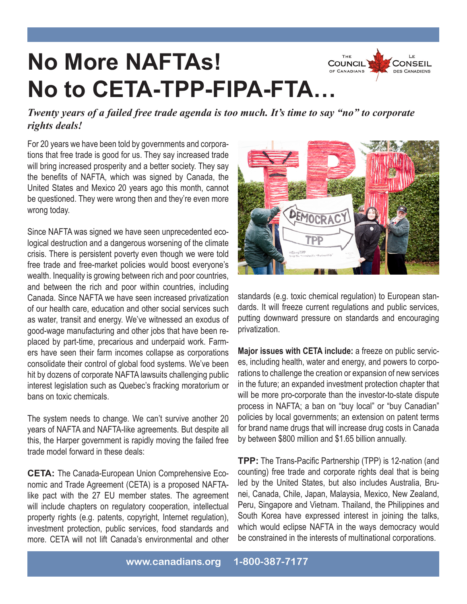## **No More NAFTAs! No to CETA-TPP-FIPA-FTA…**



*Twenty years of a failed free trade agenda is too much. It's time to say "no" to corporate rights deals!*

For 20 years we have been told by governments and corporations that free trade is good for us. They say increased trade will bring increased prosperity and a better society. They say the benefits of NAFTA, which was signed by Canada, the United States and Mexico 20 years ago this month, cannot be questioned. They were wrong then and they're even more wrong today.

Since NAFTA was signed we have seen unprecedented ecological destruction and a dangerous worsening of the climate crisis. There is persistent poverty even though we were told free trade and free-market policies would boost everyone's wealth. Inequality is growing between rich and poor countries, and between the rich and poor within countries, including Canada. Since NAFTA we have seen increased privatization of our health care, education and other social services such as water, transit and energy. We've witnessed an exodus of good-wage manufacturing and other jobs that have been replaced by part-time, precarious and underpaid work. Farmers have seen their farm incomes collapse as corporations consolidate their control of global food systems. We've been hit by dozens of corporate NAFTA lawsuits challenging public interest legislation such as Quebec's fracking moratorium or bans on toxic chemicals.

The system needs to change. We can't survive another 20 years of NAFTA and NAFTA-like agreements. But despite all this, the Harper government is rapidly moving the failed free trade model forward in these deals:

**CETA:** The Canada-European Union Comprehensive Economic and Trade Agreement (CETA) is a proposed NAFTAlike pact with the 27 EU member states. The agreement will include chapters on regulatory cooperation, intellectual property rights (e.g. patents, copyright, Internet regulation), investment protection, public services, food standards and more. CETA will not lift Canada's environmental and other



standards (e.g. toxic chemical regulation) to European standards. It will freeze current regulations and public services, putting downward pressure on standards and encouraging privatization.

**Major issues with CETA include:** a freeze on public services, including health, water and energy, and powers to corporations to challenge the creation or expansion of new services in the future; an expanded investment protection chapter that will be more pro-corporate than the investor-to-state dispute process in NAFTA; a ban on "buy local" or "buy Canadian" policies by local governments; an extension on patent terms for brand name drugs that will increase drug costs in Canada by between \$800 million and \$1.65 billion annually.

**TPP:** The Trans-Pacific Partnership (TPP) is 12-nation (and counting) free trade and corporate rights deal that is being led by the United States, but also includes Australia, Brunei, Canada, Chile, Japan, Malaysia, Mexico, New Zealand, Peru, Singapore and Vietnam. Thailand, the Philippines and South Korea have expressed interest in joining the talks, which would eclipse NAFTA in the ways democracy would be constrained in the interests of multinational corporations.